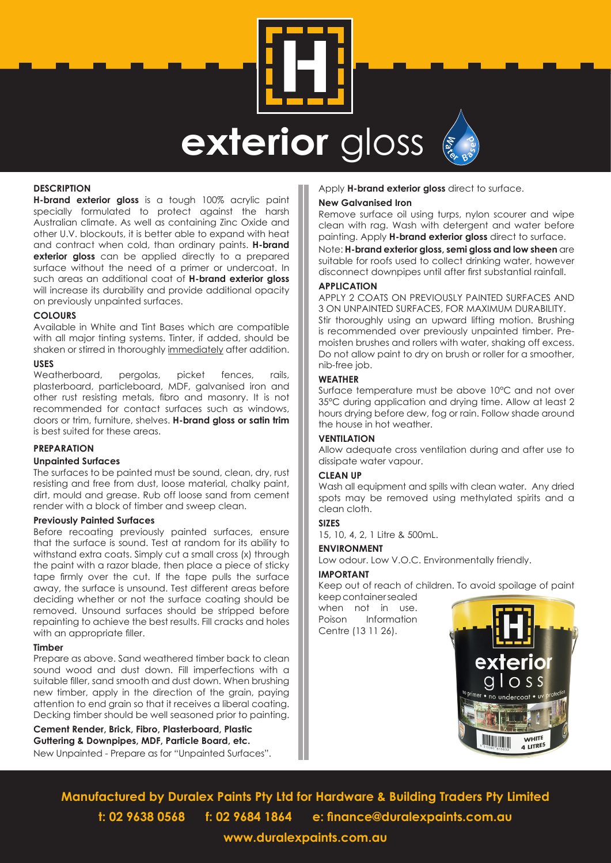



#### **DESCRIPTION**

**H-brand exterior gloss** is a tough 100% acrylic paint specially formulated to protect against the harsh Australian climate. As well as containing Zinc Oxide and other U.V. blockouts, it is better able to expand with heat and contract when cold, than ordinary paints. **H-brand exterior gloss** can be applied directly to a prepared surface without the need of a primer or undercoat. In such areas an additional coat of **H-brand exterior gloss** will increase its durability and provide additional opacity on previously unpainted surfaces.

#### **COLOURS**

Available in White and Tint Bases which are compatible with all major tinting systems. Tinter, if added, should be shaken or stirred in thoroughly immediately after addition.

### **USES**

Weatherboard, pergolas, picket fences, rails, plasterboard, particleboard, MDF, galvanised iron and other rust resisting metals, fibro and masonry. It is not recommended for contact surfaces such as windows, doors or trim, furniture, shelves. **H-brand gloss or satin trim** is best suited for these areas.

#### **PREPARATION**

#### **Unpainted Surfaces**

The surfaces to be painted must be sound, clean, dry, rust resisting and free from dust, loose material, chalky paint, dirt, mould and grease. Rub off loose sand from cement render with a block of timber and sweep clean.

#### **Previously Painted Surfaces**

Before recoating previously painted surfaces, ensure that the surface is sound. Test at random for its ability to withstand extra coats. Simply cut a small cross (x) through the paint with a razor blade, then place a piece of sticky tape firmly over the cut. If the tape pulls the surface away, the surface is unsound. Test different areas before deciding whether or not the surface coating should be removed. Unsound surfaces should be stripped before repainting to achieve the best results. Fill cracks and holes with an appropriate filler.

#### **Timber**

Prepare as above. Sand weathered timber back to clean sound wood and dust down. Fill imperfections with a suitable filler, sand smooth and dust down. When brushing new timber, apply in the direction of the grain, paying attention to end grain so that it receives a liberal coating. Decking timber should be well seasoned prior to painting.

**Cement Render, Brick, Fibro, Plasterboard, Plastic Guttering & Downpipes, MDF, Particle Board, etc.**

New Unpainted - Prepare as for "Unpainted Surfaces".

#### Apply **H-brand exterior gloss** direct to surface.

#### **New Galvanised Iron**

Remove surface oil using turps, nylon scourer and wipe clean with rag. Wash with detergent and water before painting. Apply **H-brand exterior gloss** direct to surface. Note: **H-brand exterior gloss, semi gloss and low sheen** are suitable for roofs used to collect drinking water, however disconnect downpipes until after first substantial rainfall.

#### **APPLICATION**

APPLY 2 COATS ON PREVIOUSLY PAINTED SURFACES AND 3 ON UNPAINTED SURFACES, FOR MAXIMUM DURABILITY. Stir thoroughly using an upward lifting motion. Brushing is recommended over previously unpainted timber. Premoisten brushes and rollers with water, shaking off excess. Do not allow paint to dry on brush or roller for a smoother,

#### nib-free job. **WEATHER**

Surface temperature must be above 10°C and not over 35°C during application and drying time. Allow at least 2 hours drying before dew, fog or rain. Follow shade around the house in hot weather.

#### **VENTILATION**

Allow adequate cross ventilation during and after use to dissipate water vapour.

# **CLEAN UP**

Wash all equipment and spills with clean water. Any dried spots may be removed using methylated spirits and a clean cloth.

# **SIZES**

15, 10, 4, 2, 1 Litre & 500mL.

#### **ENVIRONMENT**

Low odour. Low V.O.C. Environmentally friendly.

#### **IMPORTANT**

Keep out of reach of children. To avoid spoilage of paint keep container sealed

when not in use. Poison Information Centre (13 11 26).



**Manufactured by Duralex Paints Pty Ltd for Hardware & Building Traders Pty Limited t: 02 9638 0568 f: 02 9684 1864 e: finance@duralexpaints.com.au www.duralexpaints.com.au**